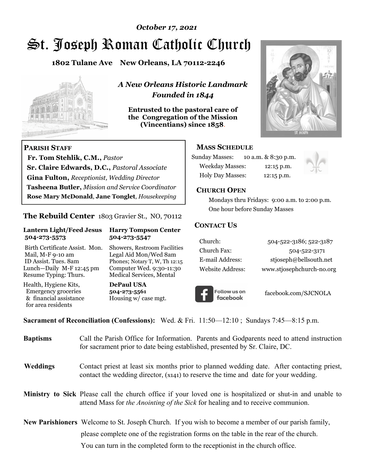### *October 17, 2021*

# St. Joseph Roman Catholic Church

**1802 Tulane Ave New Orleans, LA 70112-2246**



 **Fr. Tom Stehlik, C.M.,** *Pastor* 

**Sr. Claire Edwards, D.C.,** *Pastoral Associate* **Gina Fulton,** *Receptionist, Wedding Director* 

**Tasheena Butler,** *Mission and Service Coordinator* **Rose Mary McDonald**, **Jane Tonglet**, *Housekeeping*

**The Rebuild Center** 1803 Gravier St., NO, 70112

**Lantern Light/Feed Jesus Harry Tompson Center** 

Birth Certificate Assist. Mon. Showers, Restroom Facilities Mail, M-F 9-10 am Legal Aid Mon/Wed 8am ID Assist. Tues. 8am Phones; Notary T, W, Th 12:15 Lunch—Daily M-F 12:45 pm Computer Wed. 9:30-11:30 Resume Typing: Thurs. Medical Services, Mental

 **504-273-5573 504-273-5547** 

Health, Hygiene Kits, **DePaul USA**  Emergency groceries **504-273-5561**<br>& financial assistance Housing w/ ca

**PARISH STAFF**

for area residents

*A New Orleans Historic Landmark Founded in 1844* 

**Entrusted to the pastoral care of the Congregation of the Mission (Vincentians) since 1858**.



### **MASS SCHEDULE**

| <b>Sunday Masses:</b>  | 10 a.m. & 8:30 p.m. |
|------------------------|---------------------|
| <b>Weekday Masses:</b> | $12:15$ p.m.        |
| Holy Day Masses:       | 12:15 p.m.          |



### **CHURCH OPEN**

 Mondays thru Fridays: 9:00 a.m. to 2:00 p.m. One hour before Sunday Masses

### **CONTACT US**

| Church:          | 504-522-3186; 522-3187    |
|------------------|---------------------------|
| Church Fax:      | 504-522-3171              |
| E-mail Address:  | stjoseph@bellsouth.net    |
| Website Address: | www.stjosephchurch-no.org |



facebook.com/SJCNOLA

**Sacrament of Reconciliation (Confessions):** Wed. & Fri. 11:50—12:10 ; Sundays 7:45—8:15 p.m.

Housing w/ case mgt.

| <b>Baptisms</b> | Call the Parish Office for Information. Parents and Godparents need to attend instruction<br>for sacrament prior to date being established, presented by Sr. Claire, DC.                     |
|-----------------|----------------------------------------------------------------------------------------------------------------------------------------------------------------------------------------------|
| <b>Weddings</b> | Contact priest at least six months prior to planned wedding date. After contacting priest,<br>contact the wedding director, (x141) to reserve the time and date for your wedding.            |
|                 | Ministry to Sick Please call the church office if your loved one is hospitalized or shut-in and unable to<br>attend Mass for the Anointing of the Sick for healing and to receive communion. |
|                 | New Parishioners Welcome to St. Joseph Church. If you wish to become a member of our parish family,                                                                                          |
|                 | please complete one of the registration forms on the table in the rear of the church.                                                                                                        |
|                 | You can turn in the completed form to the reception is the church office.                                                                                                                    |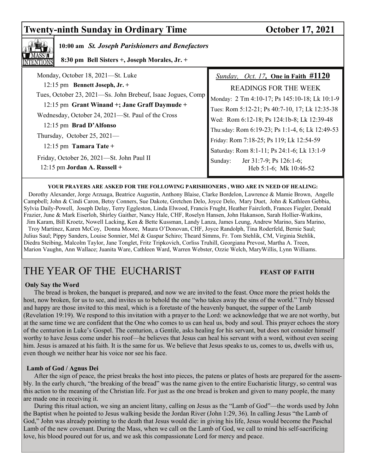## **Twenty-ninth Sunday in Ordinary Time October 17, 2021**



### **10:00 am** *St. Joseph Parishioners and Benefactors*

 **8:30 pm Bell Sisters +, Joseph Morales, Jr. +**

| Monday, October 18, 2021-St. Luke                           | Sunday, Oct. 17, One in Faith #1120             |
|-------------------------------------------------------------|-------------------------------------------------|
| 12:15 pm Bennett Joseph, Jr. +                              | <b>READINGS FOR THE WEEK</b>                    |
| Tues, October 23, 2021-Ss. John Brebeuf, Isaac Jogues, Comp | Monday: 2 Tm 4:10-17; Ps 145:10-18; Lk 10:1-9   |
| 12:15 pm Grant Winand +; Jane Graff Daymude +               | Tues: Rom 5:12-21; Ps 40:7-10, 17; Lk 12:35-38  |
| Wednesday, October 24, 2021—St. Paul of the Cross           | Wed: Rom 6:12-18; Ps 124:1b-8; Lk 12:39-48      |
| 12:15 pm Brad D'Alfonso                                     | Thu:sday: Rom 6:19-23; Ps 1:1-4, 6; Lk 12:49-53 |
| Thursday, October 25, $2021-$                               | Friday: Rom 7:18-25; Ps 119; Lk 12:54-59        |
| $12:15$ pm Tamara Tate +                                    | Saturday: Rom 8:1-11; Ps 24:1-6; Lk 13:1-9      |
| Friday, October 26, 2021-St. John Paul II                   | Jer 31:7-9; Ps 126:1-6;<br>Sunday:              |
| $12:15$ pm Jordan A. Russell +                              | Heb 5:1-6; Mk 10:46-52                          |
|                                                             |                                                 |

### **YOUR PRAYERS ARE ASKED FOR THE FOLLOWING PARISHIONERS , WHO ARE IN NEED OF HEALING:**

 Dorothy Alexander, Jorge Arzuaga, Beatrice Augustin, Anthony Blaise, Clarke Bordelon, Lawrence & Mamie Brown, Angelle Campbell; John & Cindi Caron, Betsy Conners, Sue Dakote, Gretchen Delo, Joyce Delo, Mary Duet, John & Kathleen Gebbia, Sylvia Daily-Powell, Joseph Delay, Terry Eggleston, Linda Elwood, Francis Frught, Heather Faircloth, Frances Fiegler, Donald Frazier, June & Mark Eiserloh, Shirley Gaither, Nancy Hale, CHF, Roselyn Hansen, John Hakanson, Sarah Hollier-Watkins, Jim Karam, Bill Kroetz, Nowell Lacking, Ken & Bette Kussman, Landy Lanza, James Leung, Andrew Marino, Sara Marino, Troy Martinez, Karen McCoy, Donna Moore, Maura O'Donovan, CHF, Joyce Randolph, Tina Roderfeld, Bernie Saul; Julius Saul; Pippy Sanders, Louise Sonnier, Mel & Gaspar Schiro; Theard Simms, Fr. Tom Stehlik, CM, Virginia Stehlik, Diedra Steibing, Malcolm Taylor, Jane Tonglet, Fritz Tripkovich, Corliss Truhill, Georgiana Prevost, Martha A. Treen, Marion Vaughn, Ann Wallace; Juanita Ware, Cathleen Ward, Warren Webster, Ozzie Welch, MaryWillis, Lynn Williams.

# THE YEAR OF THE EUCHARIST **FEAST OF FAITH**

### **Only Say the Word**

 The bread is broken, the banquet is prepared, and now we are invited to the feast. Once more the priest holds the host, now broken, for us to see, and invites us to behold the one "who takes away the sins of the world." Truly blessed and happy are those invited to this meal, which is a foretaste of the heavenly banquet, the supper of the Lamb (Revelation 19:19). We respond to this invitation with a prayer to the Lord: we acknowledge that we are not worthy, but at the same time we are confident that the One who comes to us can heal us, body and soul. This prayer echoes the story of the centurion in Luke's Gospel. The centurion, a Gentile, asks healing for his servant, but does not consider himself worthy to have Jesus come under his roof—he believes that Jesus can heal his servant with a word, without even seeing him. Jesus is amazed at his faith. It is the same for us. We believe that Jesus speaks to us, comes to us, dwells with us, even though we neither hear his voice nor see his face.

### **Lamb of God / Agnus Dei**

 After the sign of peace, the priest breaks the host into pieces, the patens or plates of hosts are prepared for the assembly. In the early church, "the breaking of the bread" was the name given to the entire Eucharistic liturgy, so central was this action to the meaning of the Christian life. For just as the one bread is broken and given to many people, the many are made one in receiving it.

 During this ritual action, we sing an ancient litany, calling on Jesus as the "Lamb of God"—the words used by John the Baptist when he pointed to Jesus walking beside the Jordan River (John 1:29, 36). In calling Jesus "the Lamb of God," John was already pointing to the death that Jesus would die: in giving his life, Jesus would become the Paschal Lamb of the new covenant. During the Mass, when we call on the Lamb of God, we call to mind his self-sacrificing love, his blood poured out for us, and we ask this compassionate Lord for mercy and peace.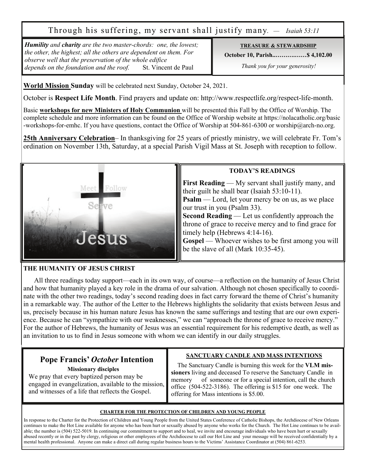Through his suffering, my servant shall justify many. *— Isaiah 53:11*

*Humility and charity are the two master-chords: one, the lowest; the other, the highest; all the others are dependent on them. For observe well that the preservation of the whole edifice depends on the foundation and the roof.* St. Vincent de Paul 

### **TREASURE & STEWARDSHIP**

**October 10, Parish..……….……\$ 4,102.00** 

 *Thank you for your generosity!* 

**World Mission Sunday** will be celebrated next Sunday, October 24, 2021.

October is **Respect Life Month**. Find prayers and update on: http://www.respectlife.org/respect-life-month.

Basic **workshops for new Ministers of Holy Communion** will be presented this Fall by the Office of Worship. The complete schedule and more information can be found on the Office of Worship website at https://nolacatholic.org/basic -workshops-for-emhc. If you have questions, contact the Office of Worship at 504-861-6300 or worship@arch-no.org.

**25th Anniversary Celebration**– In thanksgiving for 25 years of priestly ministry, we will celebrate Fr. Tom's ordination on November 13th, Saturday, at a special Parish Vigil Mass at St. Joseph with reception to follow.



### **THE HUMANITY OF JESUS CHRIST**

 All three readings today support—each in its own way, of course—a reflection on the humanity of Jesus Christ and how that humanity played a key role in the drama of our salvation. Although not chosen specifically to coordinate with the other two readings, today's second reading does in fact carry forward the theme of Christ's humanity in a remarkable way. The author of the Letter to the Hebrews highlights the solidarity that exists between Jesus and us, precisely because in his human nature Jesus has known the same sufferings and testing that are our own experience. Because he can "sympathize with our weaknesses," we can "approach the throne of grace to receive mercy." For the author of Hebrews, the humanity of Jesus was an essential requirement for his redemptive death, as well as an invitation to us to find in Jesus someone with whom we can identify in our daily struggles.

# **Pope Francis'** *October* **Intention**

 **Missionary disciples**

We pray that every baptized person may be engaged in evangelization, available to the mission, and witnesses of a life that reflects the Gospel.

### **SANCTUARY CANDLE AND MASS INTENTIONS**

 The Sanctuary Candle is burning this week for the **VLM missioners** living and deceased To reserve the Sanctuary Candle in memory of someone or for a special intention, call the church office (504-522-3186). The offering is \$15 for one week. The offering for Mass intentions is \$5.00.

### **CHARTER FOR THE PROTECTION OF CHILDREN AND YOUNG PEOPLE**

In response to the Charter for the Protection of Children and Young People from the United States Conference of Catholic Bishops, the Archdiocese of New Orleans continues to make the Hot Line available for anyone who has been hurt or sexually abused by anyone who works for the Church. The Hot Line continues to be available; the number is (504) 522-5019. In continuing our commitment to support and to heal, we invite and encourage individuals who have been hurt or sexually abused recently or in the past by clergy, religious or other employees of the Archdiocese to call our Hot Line and your message will be received confidentially by a mental health professional. Anyone can make a direct call during regular business hours to the Victims' Assistance Coordinator at (504) 861-6253.